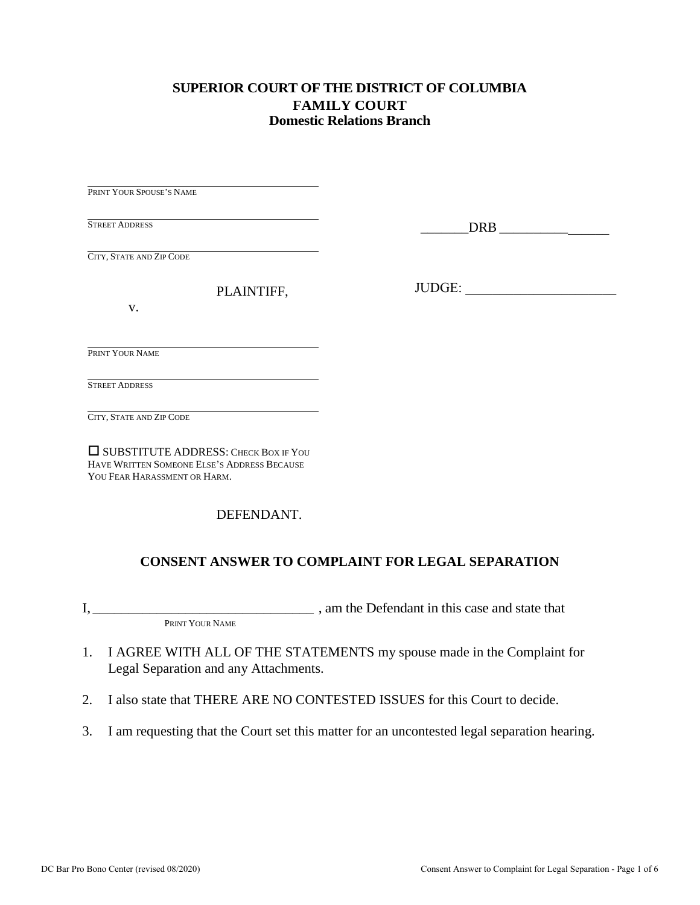#### **SUPERIOR COURT OF THE DISTRICT OF COLUMBIA FAMILY COURT Domestic Relations Branch**

PRINT YOUR SPOUSE'S NAME STREET ADDRESS CITY, STATE AND ZIP CODE PLAINTIFF,

\_\_\_\_\_\_\_DRB \_\_\_\_\_\_\_\_\_\_\_\_\_\_\_\_

JUDGE: \_\_\_\_\_\_\_\_\_\_\_\_\_\_\_\_\_\_\_\_\_\_

v.

PRINT YOUR NAME

STREET ADDRESS

CITY, STATE AND ZIP CODE

 SUBSTITUTE ADDRESS: CHECK BOX IF YOU HAVE WRITTEN SOMEONE ELSE'S ADDRESS BECAUSE YOU FEAR HARASSMENT OR HARM.

DEFENDANT.

### **CONSENT ANSWER TO COMPLAINT FOR LEGAL SEPARATION**

I, \_\_\_\_\_\_\_\_\_\_\_\_\_\_\_\_\_\_\_\_\_\_\_\_\_\_\_\_\_\_\_ , am the Defendant in this case and state that

PRINT YOUR NAME

- 1. I AGREE WITH ALL OF THE STATEMENTS my spouse made in the Complaint for Legal Separation and any Attachments.
- 2. I also state that THERE ARE NO CONTESTED ISSUES for this Court to decide.
- 3. I am requesting that the Court set this matter for an uncontested legal separation hearing.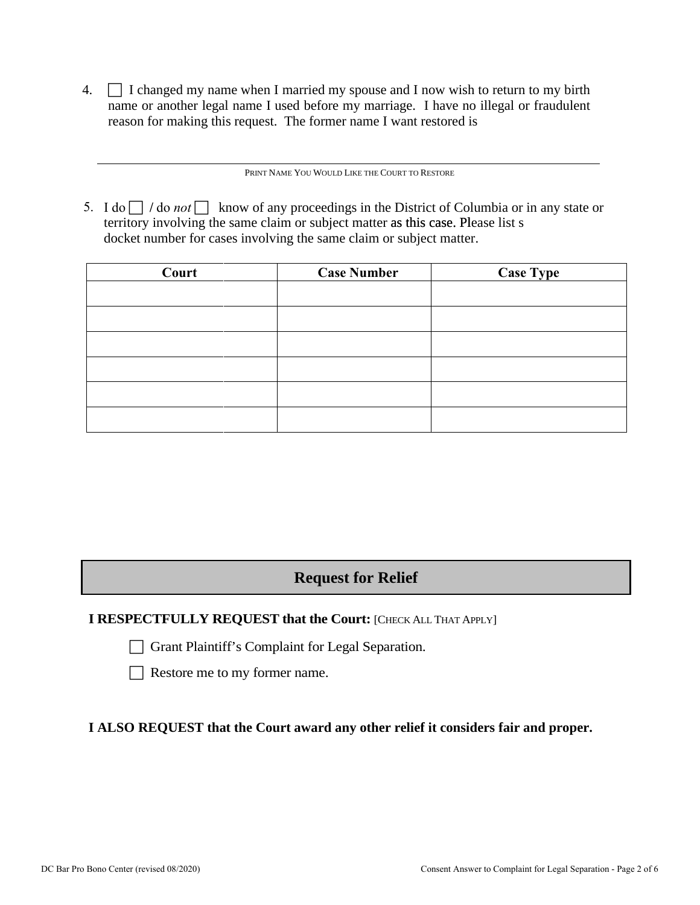4.  $\Box$  I changed my name when I married my spouse and I now wish to return to my birth name or another legal name I used before my marriage. I have no illegal or fraudulent reason for making this request. The former name I want restored is

PRINT NAME YOU WOULD LIKE THE COURT TO RESTORE

5. I do  $\Box$  / do *not*  $\Box$  know of any proceedings in the District of Columbia or in any state or territory involving the same claim or subject matter as this case. Please list s docket number for cases involving the same claim or subject matter.

| Court | <b>Case Number</b> | <b>Case Type</b> |
|-------|--------------------|------------------|
|       |                    |                  |
|       |                    |                  |
|       |                    |                  |
|       |                    |                  |
|       |                    |                  |
|       |                    |                  |

# **Request for Relief**

### **I RESPECTFULLY REQUEST that the Court: [CHECK ALL THAT APPLY]**

Grant Plaintiff's Complaint for Legal Separation.

 $\Box$  Restore me to my former name.

**I ALSO REQUEST that the Court award any other relief it considers fair and proper.**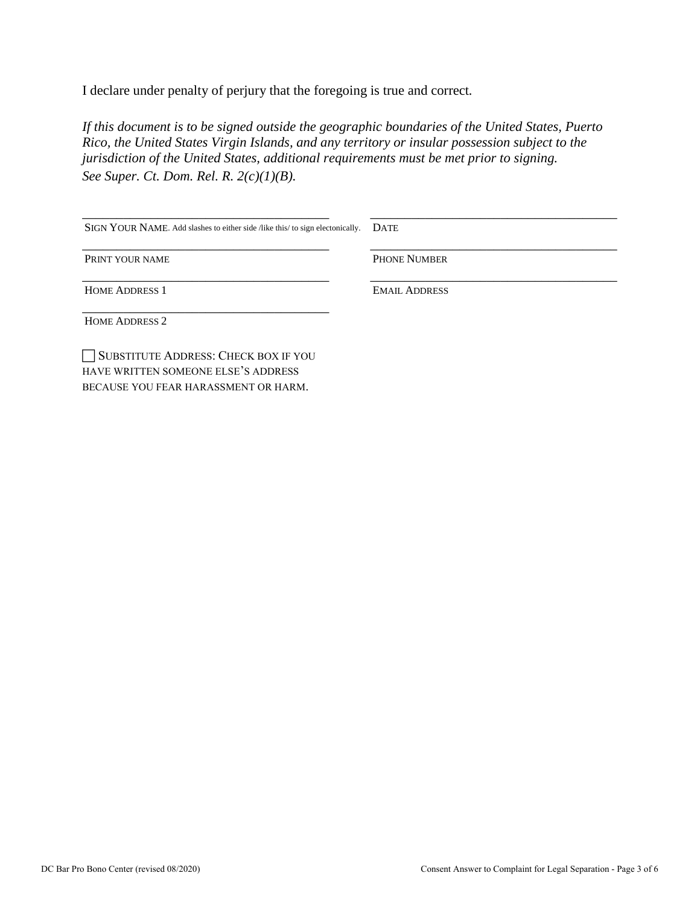I declare under penalty of perjury that the foregoing is true and correct*.* 

*If this document is to be signed outside the geographic boundaries of the United States, Puerto Rico, the United States Virgin Islands, and any territory or insular possession subject to the jurisdiction of the United States, additional requirements must be met prior to signing. See Super. Ct. Dom. Rel. R. 2(c)(1)(B).*

| SIGN YOUR NAME. Add slashes to either side /like this/ to sign electonically. | <b>DATE</b>          |
|-------------------------------------------------------------------------------|----------------------|
| PRINT YOUR NAME                                                               | <b>PHONE NUMBER</b>  |
| <b>HOME ADDRESS 1</b>                                                         | <b>EMAIL ADDRESS</b> |
| <b>HOME ADDRESS 2</b>                                                         |                      |
| SUBSTITUTE ADDRESS: CHECK BOX IF YOU<br>HAVE WRITTEN SOMEONE ELSE'S ADDRESS   |                      |

BECAUSE YOU FEAR HARASSMENT OR HARM.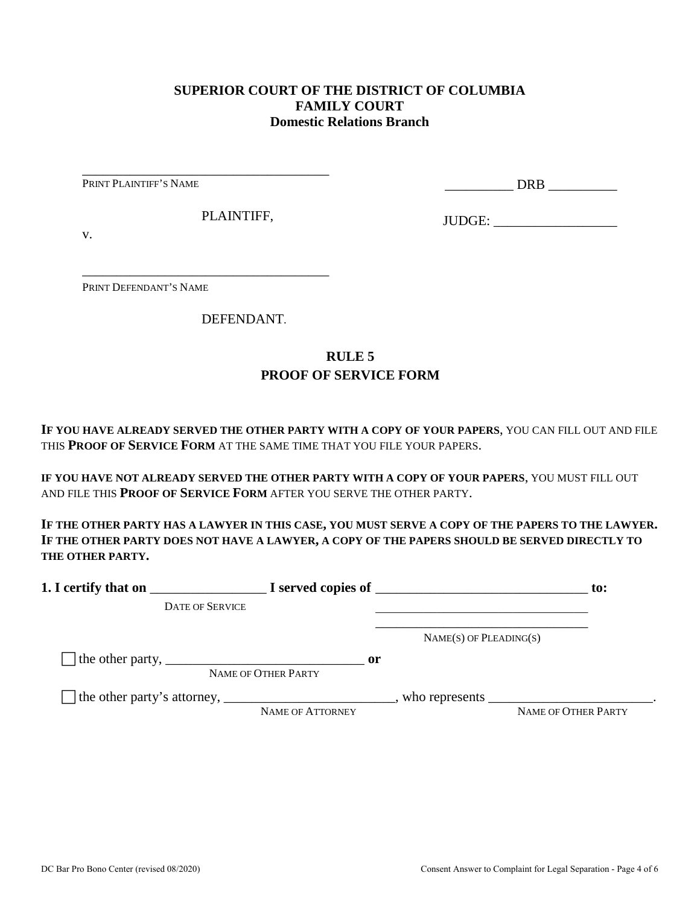#### **SUPERIOR COURT OF THE DISTRICT OF COLUMBIA FAMILY COURT Domestic Relations Branch**

PRINT PLAINTIFF'S NAME

\_\_\_\_\_\_\_\_\_\_ DRB \_\_\_\_\_\_\_\_\_\_

PLAINTIFF,

\_\_\_\_\_\_\_\_\_\_\_\_\_\_\_\_\_\_\_\_\_\_\_\_\_\_\_\_\_\_\_\_\_\_\_\_

\_\_\_\_\_\_\_\_\_\_\_\_\_\_\_\_\_\_\_\_\_\_\_\_\_\_\_\_\_\_\_\_\_\_\_\_

JUDGE: \_\_\_\_\_\_\_\_\_\_\_\_\_\_\_\_\_\_

v.

PRINT DEFENDANT'S NAME

DEFENDANT.

## **RULE 5 PROOF OF SERVICE FORM**

**IF YOU HAVE ALREADY SERVED THE OTHER PARTY WITH A COPY OF YOUR PAPERS**, YOU CAN FILL OUT AND FILE THIS **PROOF OF SERVICE FORM** AT THE SAME TIME THAT YOU FILE YOUR PAPERS.

**IF YOU HAVE NOT ALREADY SERVED THE OTHER PARTY WITH A COPY OF YOUR PAPERS**, YOU MUST FILL OUT AND FILE THIS **PROOF OF SERVICE FORM** AFTER YOU SERVE THE OTHER PARTY.

**IF THE OTHER PARTY HAS A LAWYER IN THIS CASE, YOU MUST SERVE A COPY OF THE PAPERS TO THE LAWYER. IF THE OTHER PARTY DOES NOT HAVE A LAWYER, A COPY OF THE PAPERS SHOULD BE SERVED DIRECTLY TO THE OTHER PARTY.** 

| 1. I certify that on                                                                                      | $\blacksquare$ $\blacksquare$ I served copies of $\blacksquare$ |                          |                     |
|-----------------------------------------------------------------------------------------------------------|-----------------------------------------------------------------|--------------------------|---------------------|
| <b>DATE OF SERVICE</b>                                                                                    |                                                                 |                          |                     |
|                                                                                                           |                                                                 | $NAME(S)$ OF PLEADING(S) |                     |
| The other party, $\frac{1}{\sqrt{1-\frac{1}{2}}}\left\{1-\frac{1}{2}\right\}$                             | $\mathbf{or}$<br>NAME OF OTHER PARTY                            |                          |                     |
| The other party's attorney, _______________________________, who represents ____________________________. | NAME OF ATTORNEY                                                |                          | NAME OF OTHER PARTY |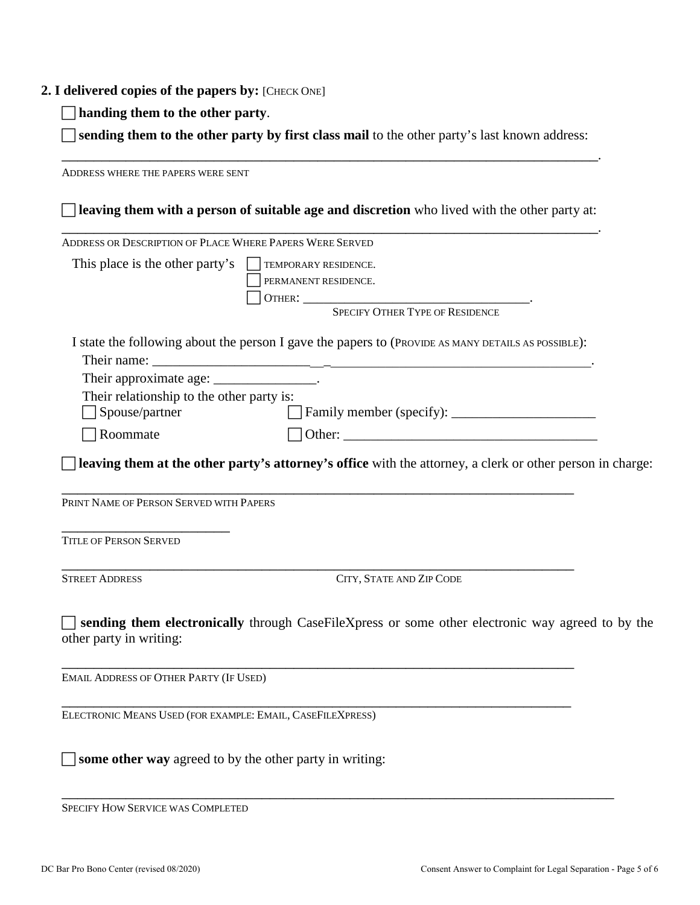#### **2. I delivered copies of the papers by:** [CHECK ONE]

**handing them to the other party**.

 **sending them to the other party by first class mail** to the other party's last known address: \_\_\_\_\_\_\_\_\_\_\_\_\_\_\_\_\_\_\_\_\_\_\_\_\_\_\_\_\_\_\_\_\_\_\_\_\_\_\_\_\_\_\_\_\_\_\_\_\_\_\_\_\_\_\_\_\_\_\_\_\_\_\_\_\_\_\_.

ADDRESS WHERE THE PAPERS WERE SENT **leaving them with a person of suitable age and discretion** who lived with the other party at: \_\_\_\_\_\_\_\_\_\_\_\_\_\_\_\_\_\_\_\_\_\_\_\_\_\_\_\_\_\_\_\_\_\_\_\_\_\_\_\_\_\_\_\_\_\_\_\_\_\_\_\_\_\_\_\_\_\_\_\_\_\_\_\_\_\_\_. ADDRESS OR DESCRIPTION OF PLACE WHERE PAPERS WERE SERVED This place is the other party's  $\Box$  TEMPORARY RESIDENCE. PERMANENT RESIDENCE. OTHER: \_\_\_\_\_\_\_\_\_\_\_\_\_\_\_\_\_\_\_\_\_\_\_\_\_\_\_\_\_\_\_\_\_. SPECIFY OTHER TYPE OF RESIDENCE I state the following about the person I gave the papers to (PROVIDE AS MANY DETAILS AS POSSIBLE): Their name: Their approximate age: \_\_\_\_\_\_\_\_\_\_\_\_\_\_\_\_. Their relationship to the other party is: Spouse/partner Family member (specify): \_\_\_\_\_\_\_\_\_\_\_\_\_\_\_\_\_\_\_\_\_  $\Box$  Roommate  $\Box$  Other: **leaving them at the other party's attorney's office** with the attorney, a clerk or other person in charge: \_\_\_\_\_\_\_\_\_\_\_\_\_\_\_\_\_\_\_\_\_\_\_\_\_\_\_\_\_\_\_\_\_\_\_\_\_\_\_\_\_\_\_\_\_\_\_\_\_\_\_\_\_\_\_\_\_\_\_\_\_\_\_\_ PRINT NAME OF PERSON SERVED WITH PAPERS \_\_\_\_\_\_\_\_\_\_\_\_\_\_\_\_\_\_\_\_\_ TITLE OF PERSON SERVED \_\_\_\_\_\_\_\_\_\_\_\_\_\_\_\_\_\_\_\_\_\_\_\_\_\_\_\_\_\_\_\_\_\_\_\_\_\_\_\_\_\_\_\_\_\_\_\_\_\_\_\_\_\_\_\_\_\_\_\_\_\_\_\_ STREET ADDRESS CITY, STATE AND ZIP CODE **sending them electronically** through CaseFileXpress or some other electronic way agreed to by the other party in writing: \_\_\_\_\_\_\_\_\_\_\_\_\_\_\_\_\_\_\_\_\_\_\_\_\_\_\_\_\_\_\_\_\_\_\_\_\_\_\_\_\_\_\_\_\_\_\_\_\_\_\_\_\_\_\_\_\_\_\_\_\_\_\_\_ EMAIL ADDRESS OF OTHER PARTY (IF USED) \_\_\_\_\_\_\_\_\_\_\_\_\_\_\_\_\_\_\_\_\_\_\_\_\_\_\_\_\_\_\_\_\_\_\_\_\_\_\_\_\_\_\_\_\_\_\_\_\_\_\_\_\_\_\_\_\_\_\_\_\_\_\_\_ ELECTRONIC MEANS USED (FOR EXAMPLE: EMAIL, CASEFILEXPRESS) **some other way** agreed to by the other party in writing:

\_\_\_\_\_\_\_\_\_\_\_\_\_\_\_\_\_\_\_\_\_\_\_\_\_\_\_\_\_\_\_\_\_\_\_\_\_\_\_\_\_\_\_\_\_\_\_\_\_\_\_\_\_\_\_\_\_\_\_\_\_\_\_\_\_\_\_\_\_ SPECIFY HOW SERVICE WAS COMPLETED